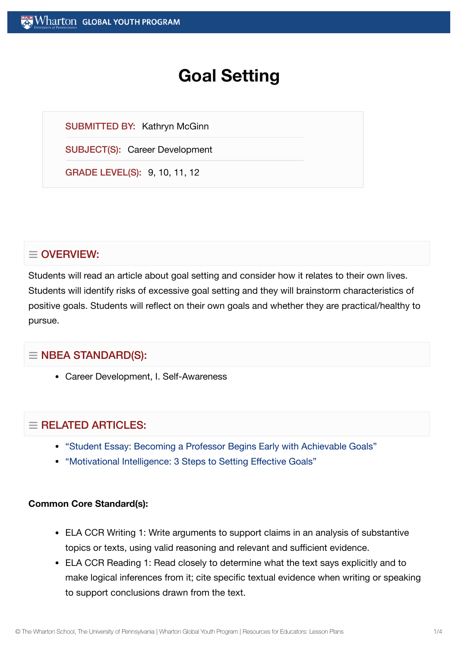# **Goal Setting**

SUBMITTED BY: Kathryn McGinn

SUBJECT(S): Career Development

GRADE LEVEL(S): 9, 10, 11, 12

## $\equiv$  OVERVIEW:

Students will read an article about goal setting and consider how it relates to their own lives. Students will identify risks of excessive goal setting and they will brainstorm characteristics of positive goals. Students will reflect on their own goals and whether they are practical/healthy to pursue.

## $\equiv$  NBEA STANDARD(S):

Career Development, I. Self-Awareness

## $=$  RELATED ARTICLES:

- "Student Essay: Becoming a Professor [Begins Early with](https://globalyouth.wharton.upenn.edu/articles/path-to-becoming-professor-begins-early-with-goals/) Achievable Goals"
- ["Motivational](https://globalyouth.wharton.upenn.edu/articles/setting-effective-goals/) Intelligence: 3 Steps to Setting Effective Goals"

#### **Common Core Standard(s):**

- ELA CCR Writing 1: Write arguments to support claims in an analysis of substantive topics or texts, using valid reasoning and relevant and sufficient evidence.
- ELA CCR Reading 1: Read closely to determine what the text says explicitly and to make logical inferences from it; cite specific textual evidence when writing or speaking to support conclusions drawn from the text.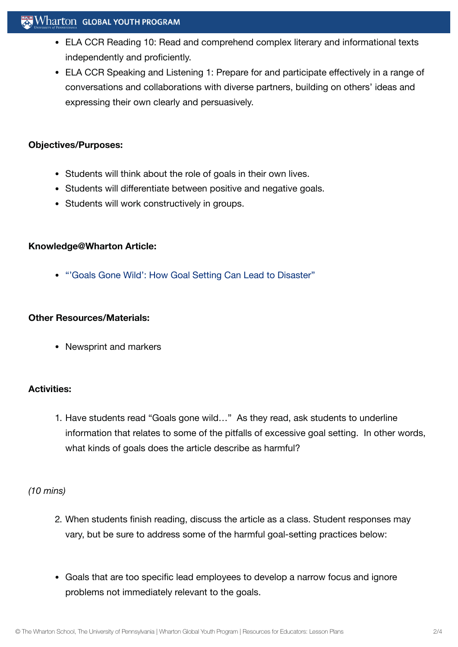- ELA CCR Reading 10: Read and comprehend complex literary and informational texts independently and proficiently.
- ELA CCR Speaking and Listening 1: Prepare for and participate effectively in a range of conversations and collaborations with diverse partners, building on others' ideas and expressing their own clearly and persuasively.

## **Objectives/Purposes:**

- Students will think about the role of goals in their own lives.
- Students will differentiate between positive and negative goals.
- Students will work constructively in groups.

### **Knowledge@Wharton Article:**

["'Goals Gone](http://knowledge.wharton.upenn.edu/article.cfm?articleid=2162) Wild': How Goal Setting Can Lead to Disaster"

### **Other Resources/Materials:**

Newsprint and markers

## **Activities:**

1. Have students read "Goals gone wild…" As they read, ask students to underline information that relates to some of the pitfalls of excessive goal setting. In other words, what kinds of goals does the article describe as harmful?

## *(10 mins)*

- 2. When students finish reading, discuss the article as a class. Student responses may vary, but be sure to address some of the harmful goal-setting practices below:
- Goals that are too specific lead employees to develop a narrow focus and ignore problems not immediately relevant to the goals.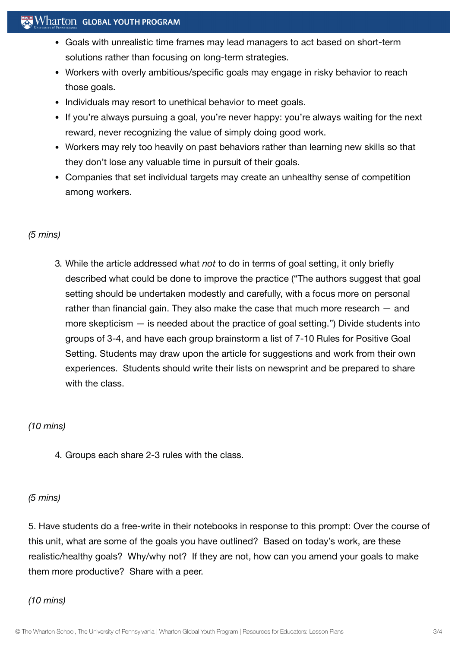## $\mathbb{R}$  Wharton Global Youth Program

- Goals with unrealistic time frames may lead managers to act based on short-term solutions rather than focusing on long-term strategies.
- Workers with overly ambitious/specific goals may engage in risky behavior to reach those goals.
- Individuals may resort to unethical behavior to meet goals.
- If you're always pursuing a goal, you're never happy: you're always waiting for the next reward, never recognizing the value of simply doing good work.
- Workers may rely too heavily on past behaviors rather than learning new skills so that they don't lose any valuable time in pursuit of their goals.
- Companies that set individual targets may create an unhealthy sense of competition among workers.

### *(5 mins)*

3. While the article addressed what *not* to do in terms of goal setting, it only briefly described what could be done to improve the practice ("The authors suggest that goal setting should be undertaken modestly and carefully, with a focus more on personal rather than financial gain. They also make the case that much more research — and more skepticism — is needed about the practice of goal setting.") Divide students into groups of 3-4, and have each group brainstorm a list of 7-10 Rules for Positive Goal Setting. Students may draw upon the article for suggestions and work from their own experiences. Students should write their lists on newsprint and be prepared to share with the class.

### *(10 mins)*

4. Groups each share 2-3 rules with the class.

#### *(5 mins)*

5. Have students do a free-write in their notebooks in response to this prompt: Over the course of this unit, what are some of the goals you have outlined? Based on today's work, are these realistic/healthy goals? Why/why not? If they are not, how can you amend your goals to make them more productive? Share with a peer.

#### *(10 mins)*